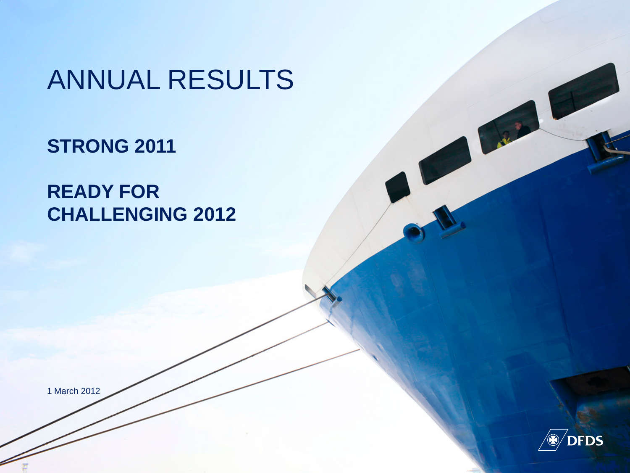# ANNUAL RESULTS

**STRONG 2011**

**READY FOR CHALLENGING 2012**

1 March 2012



J. R. P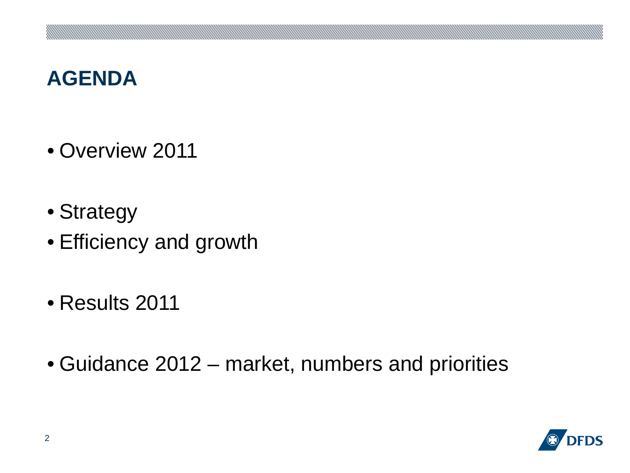### **AGENDA**

- Overview 2011
- Strategy
- Efficiency and growth
- Results 2011
- Guidance 2012 market, numbers and priorities

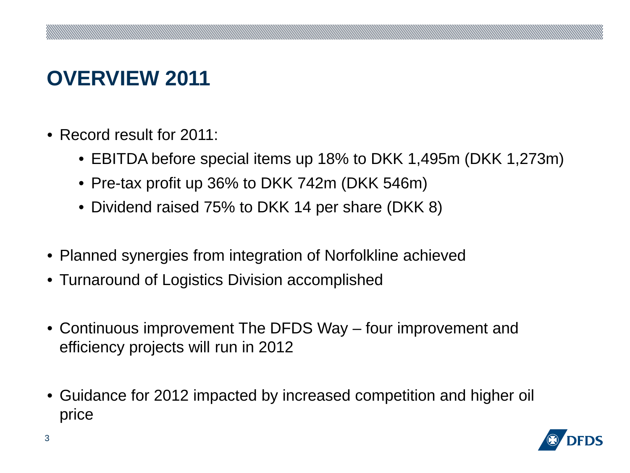# **OVERVIEW 2011**

- Record result for 2011:
	- EBITDA before special items up 18% to DKK 1,495m (DKK 1,273m)
	- Pre-tax profit up 36% to DKK 742m (DKK 546m)
	- Dividend raised 75% to DKK 14 per share (DKK 8)
- Planned synergies from integration of Norfolkline achieved
- Turnaround of Logistics Division accomplished
- Continuous improvement The DFDS Way four improvement and efficiency projects will run in 2012
- Guidance for 2012 impacted by increased competition and higher oil price

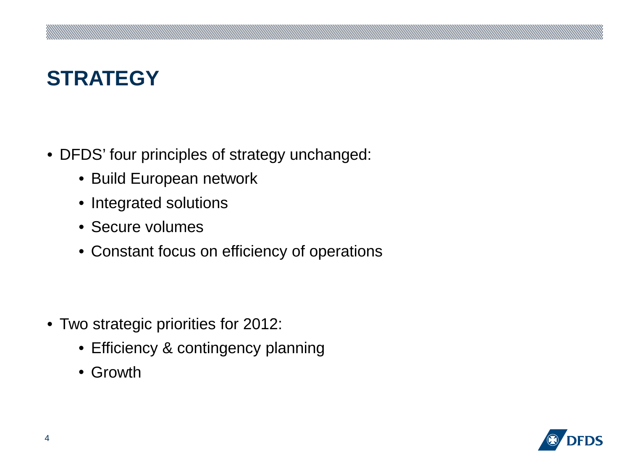# **STRATEGY**

- DFDS' four principles of strategy unchanged:
	- Build European network
	- Integrated solutions
	- Secure volumes
	- Constant focus on efficiency of operations

- Two strategic priorities for 2012:
	- Efficiency & contingency planning
	- Growth

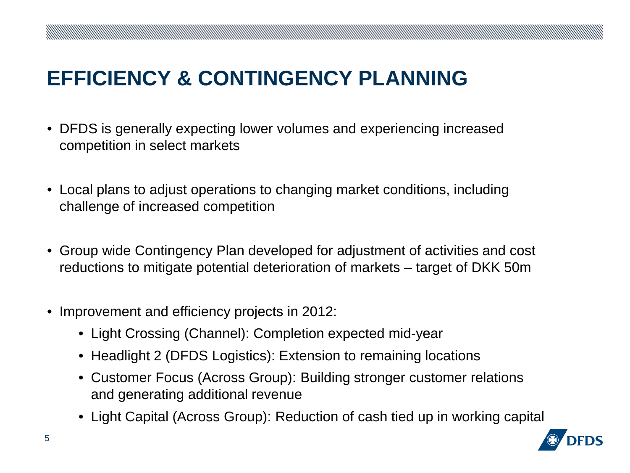## **EFFICIENCY & CONTINGENCY PLANNING**

- DFDS is generally expecting lower volumes and experiencing increased competition in select markets
- Local plans to adjust operations to changing market conditions, including challenge of increased competition
- Group wide Contingency Plan developed for adjustment of activities and cost reductions to mitigate potential deterioration of markets – target of DKK 50m
- Improvement and efficiency projects in 2012:
	- Light Crossing (Channel): Completion expected mid-year
	- Headlight 2 (DFDS Logistics): Extension to remaining locations
	- Customer Focus (Across Group): Building stronger customer relations and generating additional revenue
	- Light Capital (Across Group): Reduction of cash tied up in working capital

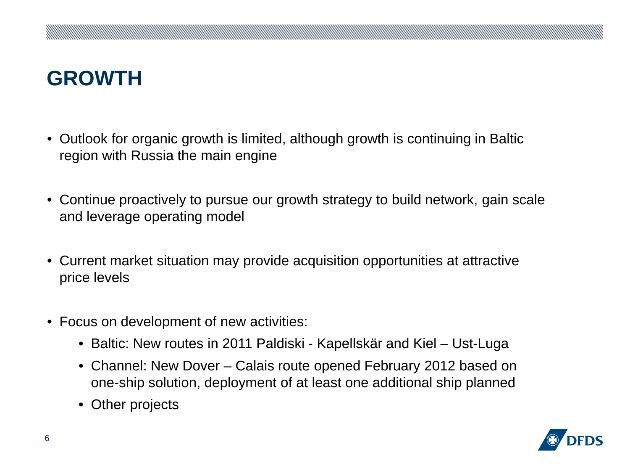# **GROWTH**

- Outlook for organic growth is limited, although growth is continuing in Baltic region with Russia the main engine
- Continue proactively to pursue our growth strategy to build network, gain scale and leverage operating model
- Current market situation may provide acquisition opportunities at attractive price levels
- Focus on development of new activities:
	- Baltic: New routes in 2011 Paldiski Kapellskär and Kiel Ust-Luga
	- Channel: New Dover Calais route opened February 2012 based on one-ship solution, deployment of at least one additional ship planned
	- Other projects

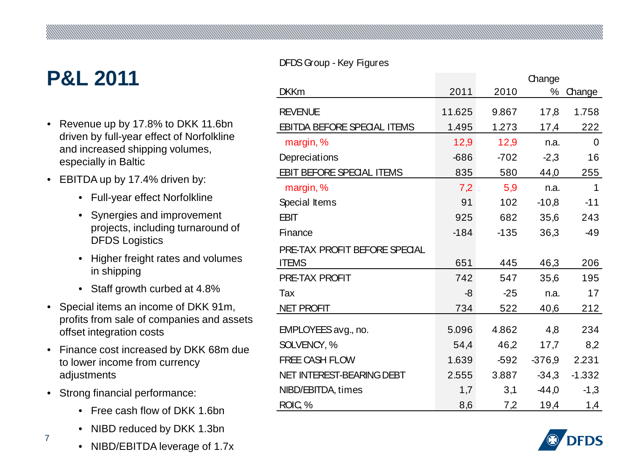## **P&L 2011**

- Revenue up by 17.8% to DKK 11.6bn driven by full-year effect of Norfolkline and increased shipping volumes, especially in Baltic
- EBITDA up by 17.4% driven by:
	- Full-year effect Norfolkline
	- Synergies and improvement projects, including turnaround of DFDS Logistics
	- Higher freight rates and volumes in shipping
	- Staff growth curbed at 4.8%
- Special items an income of DKK 91m, profits from sale of companies and assets offset integration costs
- Finance cost increased by DKK 68m due to lower income from currency adjustments
- Strong financial performance:

7 7

- Free cash flow of DKK 1.6bn
- NIBD reduced by DKK 1.3bn
- NIBD/EBITDA leverage of 1.7x

#### DFDS Group - Key Figures

|                                      |        |        | Change   |          |
|--------------------------------------|--------|--------|----------|----------|
| <b>DKKm</b>                          | 2011   | 2010   | $\%$     | Change   |
| <b>REVENUE</b>                       | 11.625 | 9.867  | 17,8     | 1.758    |
| <b>EBITDA BEFORE SPECIAL ITEMS</b>   | 1.495  | 1.273  | 17,4     | 222      |
| margin, %                            | 12,9   | 12,9   | n.a.     | 0        |
| Depreciations                        | $-686$ | $-702$ | $-2,3$   | 16       |
| EBIT BEFORE SPECIAL ITEMS            | 835    | 580    | 44,0     | 255      |
| margin, %                            | 7,2    | 5,9    | n.a.     | 1        |
| Special Items                        | 91     | 102    | $-10,8$  | $-11$    |
| <b>EBIT</b>                          | 925    | 682    | 35,6     | 243      |
| Finance                              | $-184$ | $-135$ | 36,3     | $-49$    |
| <b>PRE-TAX PROFIT BEFORE SPECIAL</b> |        |        |          |          |
| <b>ITEMS</b>                         | 651    | 445    | 46,3     | 206      |
| PRE-TAX PROFIT                       | 742    | 547    | 35,6     | 195      |
| Tax                                  | -8     | $-25$  | n.a.     | 17       |
| <b>NET PROFIT</b>                    | 734    | 522    | 40,6     | 212      |
| EMPLOYEES avg., no.                  | 5.096  | 4.862  | 4,8      | 234      |
| SOLVENCY, %                          | 54,4   | 46,2   | 17,7     | 8,2      |
| <b>FREE CASH FLOW</b>                | 1.639  | -592   | $-376,9$ | 2.231    |
| NET INTEREST-BEARING DEBT            | 2.555  | 3.887  | $-34,3$  | $-1.332$ |
| NIBD/EBITDA, times                   | 1,7    | 3,1    | -44,0    | $-1,3$   |
| ROIC <sub>3</sub> %                  | 8,6    | 7,2    | 19,4     | 1,4      |

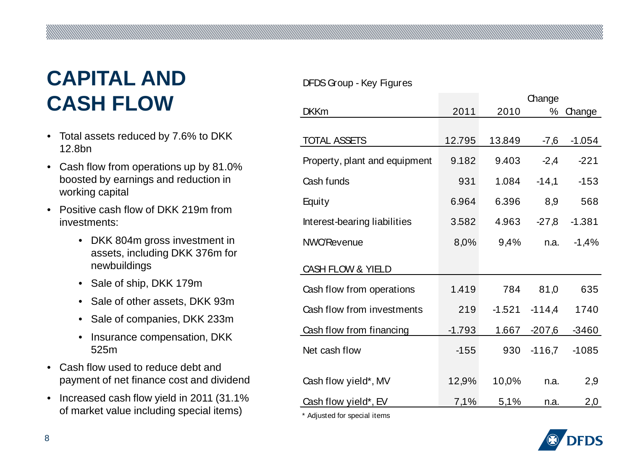# **CAPITAL AND CASH FLOW**

- Total assets reduced by 7.6% to DKK 12.8bn
- Cash flow from operations up by 81.0% boosted by earnings and reduction in working capital
- Positive cash flow of DKK 219m from investments:
	- DKK 804m gross investment in assets, including DKK 376m for newbuildings
	- Sale of ship, DKK 179m
	- Sale of other assets, DKK 93m
	- Sale of companies, DKK 233m
	- Insurance compensation, DKK 525m
- Cash flow used to reduce debt and payment of net finance cost and dividend
- Increased cash flow yield in 2011 (31.1% of market value including special items)

#### DFDS Group - Key Figures

|                               |          |          | Change   |          |
|-------------------------------|----------|----------|----------|----------|
| <b>DKKm</b>                   | 2011     | 2010     | %        | Change   |
|                               |          |          |          |          |
| <b>TOTAL ASSETS</b>           | 12.795   | 13.849   | -7,6     | $-1.054$ |
| Property, plant and equipment | 9.182    | 9.403    | $-2,4$   | $-221$   |
| Cash funds                    | 931      | 1.084    | $-14,1$  | $-153$   |
| Equity                        | 6.964    | 6.396    | 8,9      | 568      |
| Interest-bearing liabilities  | 3.582    | 4.963    | $-27,8$  | $-1.381$ |
| <b>NWC/Revenue</b>            | 8,0%     | 9,4%     | n.a.     | $-1,4%$  |
| CASH FLOW & YIELD             |          |          |          |          |
| Cash flow from operations     | 1.419    | 784      | 81,0     | 635      |
| Cash flow from investments    | 219      | $-1.521$ | $-114,4$ | 1740     |
| Cash flow from financing      | $-1.793$ | 1.667    | -207,6   | $-3460$  |
| Net cash flow                 | $-155$   | 930      | $-116,7$ | $-1085$  |
| Cash flow yield*, MV          | 12,9%    | 10,0%    | n.a.     | 2,9      |
| Cash flow yield*, EV          | 7,1%     | 5,1%     | n.a.     | 2,0      |

\* Adjusted for special items

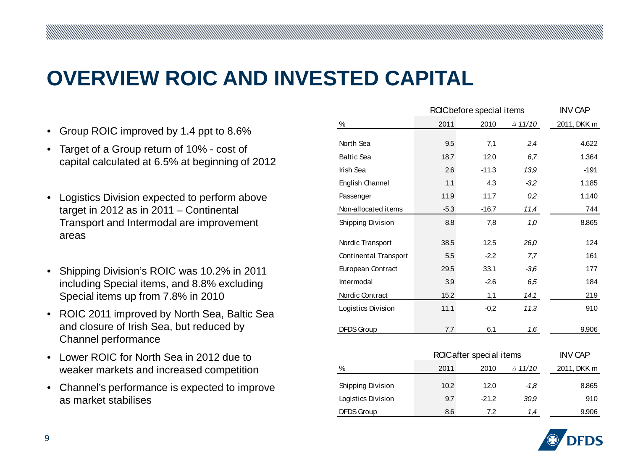### **OVERVIEW ROIC AND INVESTED CAPITAL**

- Group ROIC improved by 1.4 ppt to 8.6%
- Target of a Group return of 10% cost of capital calculated at 6.5% at beginning of 2012
- Logistics Division expected to perform above target in 2012 as in 2011 – Continental Transport and Intermodal are improvement areas
- Shipping Division's ROIC was 10.2% in 2011 including Special items, and 8.8% excluding Special items up from 7.8% in 2010
- ROIC 2011 improved by North Sea, Baltic Sea and closure of Irish Sea, but reduced by Channel performance
- Lower ROIC for North Sea in 2012 due to weaker markets and increased competition
- Channel's performance is expected to improve as market stabilises

|                                           | ROC before special items | <b>INV CAP</b> |                   |             |  |  |  |
|-------------------------------------------|--------------------------|----------------|-------------------|-------------|--|--|--|
| %                                         | 2011                     | 2010           | $\triangle$ 11/10 | 2011, DKK m |  |  |  |
| North Sea                                 | 9,5                      | 7,1            | 2,4               | 4.622       |  |  |  |
| <b>Baltic Sea</b>                         | 18,7                     | 12,0           | 6,7               | 1.364       |  |  |  |
| <b>Irish Sea</b>                          | 2,6                      | $-11,3$        | 13,9              | $-191$      |  |  |  |
| <b>English Channel</b>                    | 1,1                      | 4,3            | $-3,2$            | 1.185       |  |  |  |
| Passenger                                 | 11,9                     | 11,7           | 0,2               | 1.140       |  |  |  |
| Non-allocated items                       | $-5,3$                   | $-16,7$        | 11,4              | 744         |  |  |  |
| Shipping Division                         | 8,8                      | 7,8            | 1,0               | 8.865       |  |  |  |
| Nordic Transport                          | 38,5                     | 12,5           | 26,0              | 124         |  |  |  |
| Continental Transport                     | 5,5                      | $-2,2$         | 7,7               | 161         |  |  |  |
| European Contract                         | 29,5                     | 33,1           | $-3,6$            | 177         |  |  |  |
| Intermodal                                | 3,9                      | $-2,6$         | 6,5               | 184         |  |  |  |
| Nordic Contract                           | 15,2                     | 1,1            | 14,1              | 219         |  |  |  |
| Logistics Division                        | 11,1                     | $-0.2$         | 11,3              | 910         |  |  |  |
| <b>DFDS Group</b>                         | 7,7                      | 6,1            | 1,6               | 9.906       |  |  |  |
| <b>INV CAP</b><br>ROICafter special items |                          |                |                   |             |  |  |  |
| %                                         | 2011                     | 2010           | $\triangle$ 11/10 | 2011, DKK m |  |  |  |
| Shipping Division                         | 10,2                     | 12,0           | $-1,8$            | 8.865       |  |  |  |
| Logistics Division                        | 9,7                      | $-21,2$        | 30,9              | 910         |  |  |  |
| <b>DFDS Group</b>                         | 8,6                      | 7,2            | 1,4               | 9.906       |  |  |  |

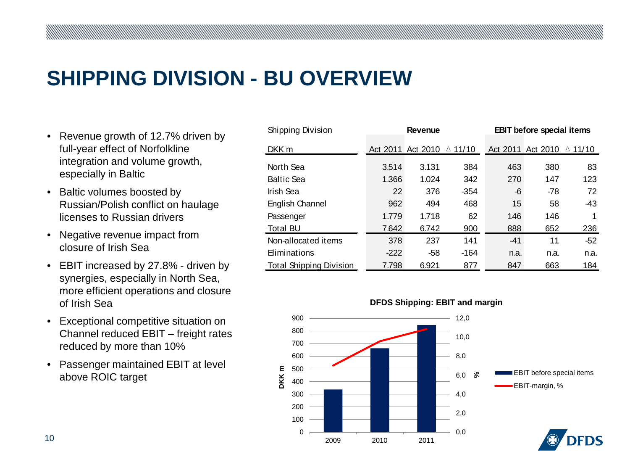### **SHIPPING DIVISION - BU OVERVIEW**

- Revenue growth of 12.7% driven by full-year effect of Norfolkline integration and volume growth, especially in Baltic
- Baltic volumes boosted by Russian/Polish conflict on haulage licenses to Russian drivers
- Negative revenue impact from closure of Irish Sea
- EBIT increased by 27.8% driven by synergies, especially in North Sea, more efficient operations and closure of Irish Sea
- Exceptional competitive situation on Channel reduced EBIT – freight rates reduced by more than 10%
- Passenger maintained EBIT at level above ROIC target

| Shipping Division              | <b>Revenue</b> |                   | <b>EBIT</b> before special items |       |                   |                   |
|--------------------------------|----------------|-------------------|----------------------------------|-------|-------------------|-------------------|
| DKK m                          |                | Act 2011 Act 2010 | △ 11/10                          |       | Act 2011 Act 2010 | $\triangle$ 11/10 |
| North Sea                      | 3.514          | 3.131             | 384                              | 463   | 380               | 83                |
| <b>Baltic Sea</b>              | 1.366          | 1.024             | 342                              | 270   | 147               | 123               |
| Irish Sea                      | 22             | 376               | $-354$                           | -6    | $-78$             | 72                |
| English Channel                | 962            | 494               | 468                              | 15    | 58                | -43               |
| Passenger                      | 1.779          | 1.718             | 62                               | 146   | 146               | 1                 |
| Total BU                       | 7.642          | 6.742             | 900                              | 888   | 652               | 236               |
| Non-allocated items            | 378            | 237               | 141                              | $-41$ | 11                | -52               |
| <b>Eliminations</b>            | $-222$         | $-58$             | -164                             | n.a.  | n.a.              | n.a.              |
| <b>Total Shipping Division</b> | 7.798          | 6.921             | 877                              | 847   | 663               | 184               |

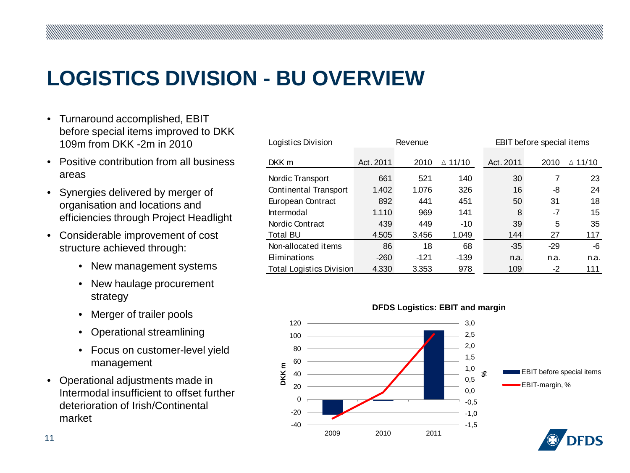### **LOGISTICS DIVISION - BU OVERVIEW**

- Turnaround accomplished, EBIT before special items improved to DKK 109m from DKK -2m in 2010
- Positive contribution from all business areas
- Synergies delivered by merger of organisation and locations and efficiencies through Project Headlight
- Considerable improvement of cost structure achieved through:
	- New management systems
	- New haulage procurement strategy
	- Merger of trailer pools
	- Operational streamlining
	- Focus on customer-level yield management
- Operational adjustments made in Intermodal insufficient to offset further deterioration of Irish/Continental market

| Logistics Division              | Revenue   |        |                   |           | <b>EBIT</b> before special items |                   |  |
|---------------------------------|-----------|--------|-------------------|-----------|----------------------------------|-------------------|--|
| DKK m                           | Act. 2011 | 2010   | $\triangle$ 11/10 | Act. 2011 | 2010                             | $\triangle$ 11/10 |  |
| Nordic Transport                | 661       | 521    | 140               | 30        | 7                                | 23                |  |
| Continental Transport           | 1.402     | 1.076  | 326               | 16        | -8                               | 24                |  |
| European Contract               | 892       | 441    | 451               | 50        | 31                               | 18                |  |
| <b>Intermodal</b>               | 1.110     | 969    | 141               | 8         | $-7$                             | 15                |  |
| Nordic Contract                 | 439       | 449    | $-10$             | 39        | 5                                | 35                |  |
| <b>Total BU</b>                 | 4.505     | 3.456  | 1.049             | 144       | 27                               | 117               |  |
| Non-allocated items             | 86        | 18     | 68                | $-35$     | $-29$                            | -6                |  |
| <b>Eliminations</b>             | $-260$    | $-121$ | $-139$            | n.a.      | n.a.                             | n.a.              |  |
| <b>Total Logistics Division</b> | 4.330     | 3.353  | 978               | 109       | $-2$                             | 111               |  |

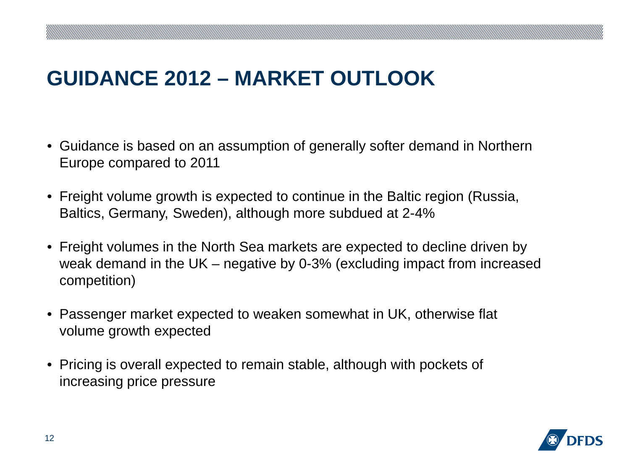### **GUIDANCE 2012 – MARKET OUTLOOK**

- Guidance is based on an assumption of generally softer demand in Northern Europe compared to 2011
- Freight volume growth is expected to continue in the Baltic region (Russia, Baltics, Germany, Sweden), although more subdued at 2-4%
- Freight volumes in the North Sea markets are expected to decline driven by weak demand in the UK – negative by 0-3% (excluding impact from increased competition)
- Passenger market expected to weaken somewhat in UK, otherwise flat volume growth expected
- Pricing is overall expected to remain stable, although with pockets of increasing price pressure

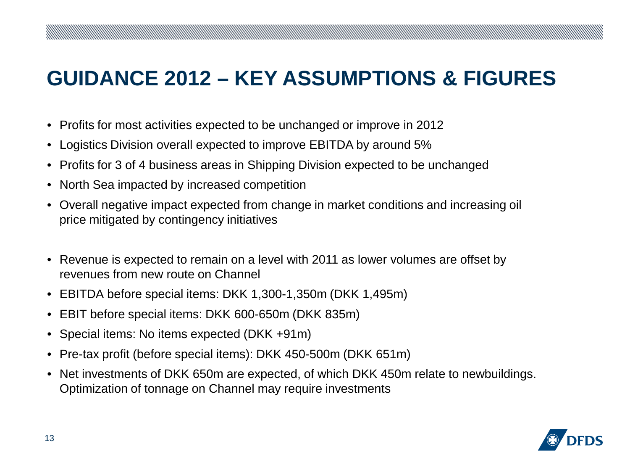## **GUIDANCE 2012 – KEY ASSUMPTIONS & FIGURES**

- Profits for most activities expected to be unchanged or improve in 2012
- Logistics Division overall expected to improve EBITDA by around 5%
- Profits for 3 of 4 business areas in Shipping Division expected to be unchanged
- North Sea impacted by increased competition
- Overall negative impact expected from change in market conditions and increasing oil price mitigated by contingency initiatives
- Revenue is expected to remain on a level with 2011 as lower volumes are offset by revenues from new route on Channel
- EBITDA before special items: DKK 1,300-1,350m (DKK 1,495m)
- EBIT before special items: DKK 600-650m (DKK 835m)
- Special items: No items expected (DKK +91m)
- Pre-tax profit (before special items): DKK 450-500m (DKK 651m)
- Net investments of DKK 650m are expected, of which DKK 450m relate to newbuildings. Optimization of tonnage on Channel may require investments

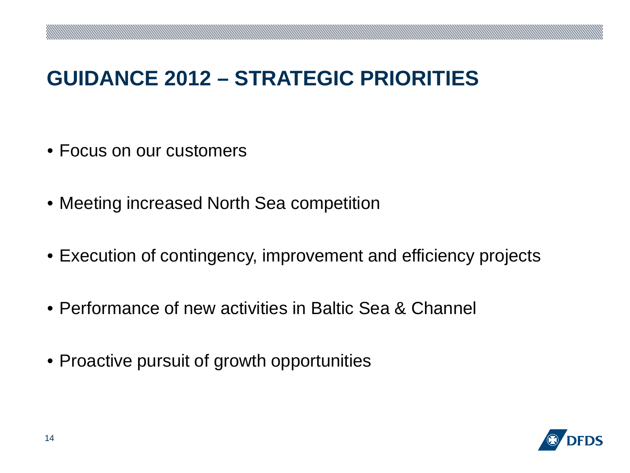### **GUIDANCE 2012 – STRATEGIC PRIORITIES**

- Focus on our customers
- Meeting increased North Sea competition
- Execution of contingency, improvement and efficiency projects
- Performance of new activities in Baltic Sea & Channel
- Proactive pursuit of growth opportunities